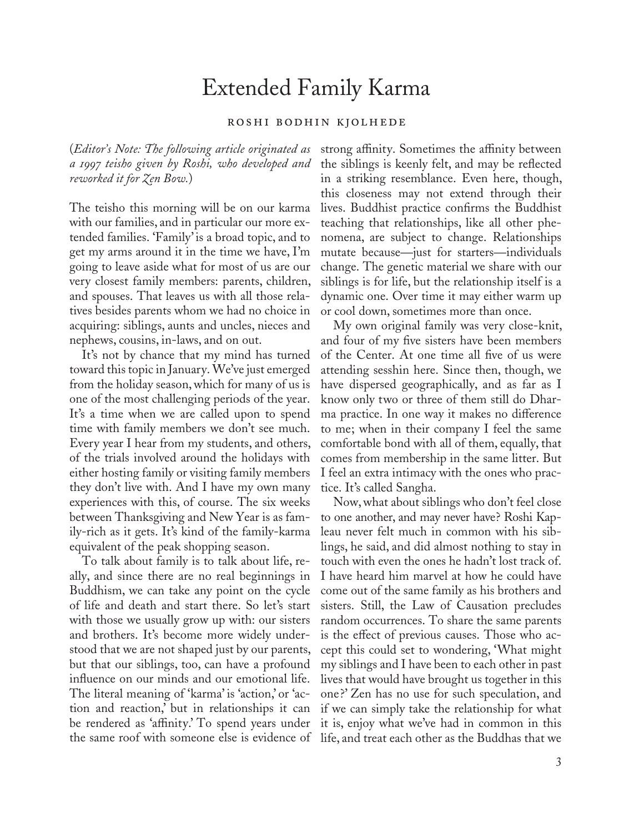## Extended Family Karma

## roshi bodhin kjolhede

(*Editor's Note: The following article originated as a 1997 teisho given by Roshi, who developed and reworked it for Zen Bow.*)

The teisho this morning will be on our karma with our families, and in particular our more extended families. 'Family' is a broad topic, and to get my arms around it in the time we have, I'm going to leave aside what for most of us are our very closest family members: parents, children, and spouses. That leaves us with all those relatives besides parents whom we had no choice in acquiring: siblings, aunts and uncles, nieces and nephews, cousins, in-laws, and on out.

It's not by chance that my mind has turned toward this topic in January. We've just emerged from the holiday season, which for many of us is one of the most challenging periods of the year. It's a time when we are called upon to spend time with family members we don't see much. Every year I hear from my students, and others, of the trials involved around the holidays with either hosting family or visiting family members they don't live with. And I have my own many experiences with this, of course. The six weeks between Thanksgiving and New Year is as family-rich as it gets. It's kind of the family-karma equivalent of the peak shopping season.

To talk about family is to talk about life, really, and since there are no real beginnings in Buddhism, we can take any point on the cycle of life and death and start there. So let's start with those we usually grow up with: our sisters and brothers. It's become more widely understood that we are not shaped just by our parents, but that our siblings, too, can have a profound influence on our minds and our emotional life. The literal meaning of 'karma' is 'action,' or 'action and reaction,' but in relationships it can be rendered as 'affinity.' To spend years under the same roof with someone else is evidence of

strong affinity. Sometimes the affinity between the siblings is keenly felt, and may be reflected in a striking resemblance. Even here, though, this closeness may not extend through their lives. Buddhist practice confirms the Buddhist teaching that relationships, like all other phenomena, are subject to change. Relationships mutate because—just for starters—individuals change. The genetic material we share with our siblings is for life, but the relationship itself is a dynamic one. Over time it may either warm up or cool down, sometimes more than once.

My own original family was very close-knit, and four of my five sisters have been members of the Center. At one time all five of us were attending sesshin here. Since then, though, we have dispersed geographically, and as far as I know only two or three of them still do Dharma practice. In one way it makes no difference to me; when in their company I feel the same comfortable bond with all of them, equally, that comes from membership in the same litter. But I feel an extra intimacy with the ones who practice. It's called Sangha.

Now, what about siblings who don't feel close to one another, and may never have? Roshi Kapleau never felt much in common with his siblings, he said, and did almost nothing to stay in touch with even the ones he hadn't lost track of. I have heard him marvel at how he could have come out of the same family as his brothers and sisters. Still, the Law of Causation precludes random occurrences. To share the same parents is the effect of previous causes. Those who accept this could set to wondering, 'What might my siblings and I have been to each other in past lives that would have brought us together in this one ?' Zen has no use for such speculation, and if we can simply take the relationship for what it is, enjoy what we've had in common in this life, and treat each other as the Buddhas that we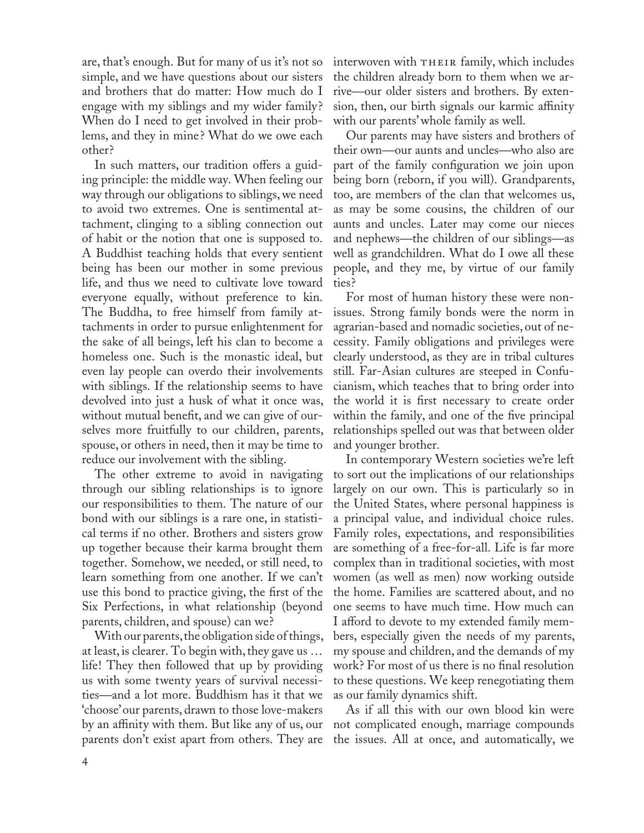are, that's enough. But for many of us it's not so simple, and we have questions about our sisters and brothers that do matter: How much do I engage with my siblings and my wider family ? When do I need to get involved in their problems, and they in mine? What do we owe each other?

In such matters, our tradition offers a guiding principle: the middle way. When feeling our way through our obligations to siblings, we need to avoid two extremes. One is sentimental attachment, clinging to a sibling connection out of habit or the notion that one is supposed to. A Buddhist teaching holds that every sentient being has been our mother in some previous life, and thus we need to cultivate love toward everyone equally, without preference to kin. The Buddha, to free himself from family attachments in order to pursue enlightenment for the sake of all beings, left his clan to become a homeless one. Such is the monastic ideal, but even lay people can overdo their involvements with siblings. If the relationship seems to have devolved into just a husk of what it once was, without mutual benefit, and we can give of ourselves more fruitfully to our children, parents, spouse, or others in need, then it may be time to reduce our involvement with the sibling.

The other extreme to avoid in navigating through our sibling relationships is to ignore our responsibilities to them. The nature of our bond with our siblings is a rare one, in statistical terms if no other. Brothers and sisters grow up together because their karma brought them together. Somehow, we needed, or still need, to learn something from one another. If we can't use this bond to practice giving, the first of the Six Perfections, in what relationship (beyond parents, children, and spouse) can we?

With our parents, the obligation side of things, at least, is clearer. To begin with, they gave us … life! They then followed that up by providing us with some twenty years of survival necessities—and a lot more. Buddhism has it that we 'choose' our parents, drawn to those love-makers by an affinity with them. But like any of us, our parents don't exist apart from others. They are

interwoven with THEIR family, which includes the children already born to them when we arrive—our older sisters and brothers. By extension, then, our birth signals our karmic affinity with our parents' whole family as well.

Our parents may have sisters and brothers of their own—our aunts and uncles—who also are part of the family configuration we join upon being born (reborn, if you will). Grandparents, too, are members of the clan that welcomes us, as may be some cousins, the children of our aunts and uncles. Later may come our nieces and nephews—the children of our siblings—as well as grandchildren. What do I owe all these people, and they me, by virtue of our family ties?

For most of human history these were nonissues. Strong family bonds were the norm in agrarian-based and nomadic societies, out of necessity. Family obligations and privileges were clearly understood, as they are in tribal cultures still. Far-Asian cultures are steeped in Confucianism, which teaches that to bring order into the world it is first necessary to create order within the family, and one of the five principal relationships spelled out was that between older and younger brother.

In contemporary Western societies we're left to sort out the implications of our relationships largely on our own. This is particularly so in the United States, where personal happiness is a principal value, and individual choice rules. Family roles, expectations, and responsibilities are something of a free-for-all. Life is far more complex than in traditional societies, with most women (as well as men) now working outside the home. Families are scattered about, and no one seems to have much time. How much can I afford to devote to my extended family members, especially given the needs of my parents, my spouse and children, and the demands of my work? For most of us there is no final resolution to these questions. We keep renegotiating them as our family dynamics shift.

As if all this with our own blood kin were not complicated enough, marriage compounds the issues. All at once, and automatically, we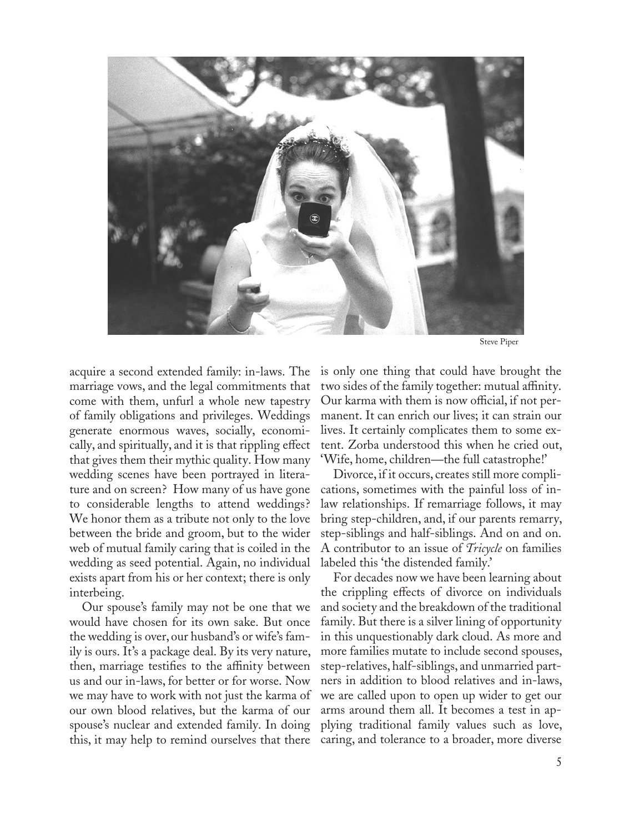

Steve Piper

acquire a second extended family: in-laws. The marriage vows, and the legal commitments that come with them, unfurl a whole new tapestry of family obligations and privileges. Weddings generate enormous waves, socially, economically, and spiritually, and it is that rippling effect that gives them their mythic quality. How many wedding scenes have been portrayed in literature and on screen? How many of us have gone to considerable lengths to attend weddings? We honor them as a tribute not only to the love between the bride and groom, but to the wider web of mutual family caring that is coiled in the wedding as seed potential. Again, no individual exists apart from his or her context; there is only interbeing.

Our spouse's family may not be one that we would have chosen for its own sake. But once the wedding is over, our husband's or wife's family is ours. It's a package deal. By its very nature, then, marriage testifies to the affinity between us and our in-laws, for better or for worse. Now we may have to work with not just the karma of our own blood relatives, but the karma of our spouse's nuclear and extended family. In doing this, it may help to remind ourselves that there is only one thing that could have brought the two sides of the family together: mutual affinity. Our karma with them is now official, if not permanent. It can enrich our lives; it can strain our lives. It certainly complicates them to some extent. Zorba understood this when he cried out, 'Wife, home, children—the full catastrophe!'

Divorce, if it occurs, creates still more complications, sometimes with the painful loss of inlaw relationships. If remarriage follows, it may bring step-children, and, if our parents remarry, step-siblings and half-siblings. And on and on. A contributor to an issue of *Tricycle* on families labeled this 'the distended family.'

For decades now we have been learning about the crippling effects of divorce on individuals and society and the breakdown of the traditional family. But there is a silver lining of opportunity in this unquestionably dark cloud. As more and more families mutate to include second spouses, step-relatives, half-siblings, and unmarried partners in addition to blood relatives and in-laws, we are called upon to open up wider to get our arms around them all. It becomes a test in applying traditional family values such as love, caring, and tolerance to a broader, more diverse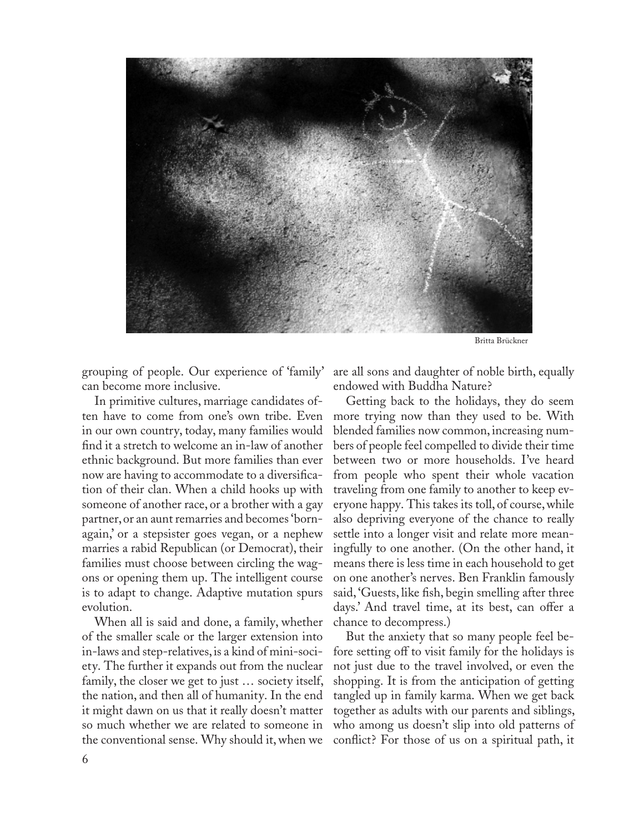

Britta Brückner

grouping of people. Our experience of 'family' can become more inclusive.

In primitive cultures, marriage candidates often have to come from one's own tribe. Even in our own country, today, many families would find it a stretch to welcome an in-law of another ethnic background. But more families than ever now are having to accommodate to a diversification of their clan. When a child hooks up with someone of another race, or a brother with a gay partner, or an aunt remarries and becomes 'bornagain,' or a stepsister goes vegan, or a nephew marries a rabid Republican (or Democrat), their families must choose between circling the wagons or opening them up. The intelligent course is to adapt to change. Adaptive mutation spurs evolution.

When all is said and done, a family, whether of the smaller scale or the larger extension into in-laws and step-relatives, is a kind of mini-society. The further it expands out from the nuclear family, the closer we get to just … society itself, the nation, and then all of humanity. In the end it might dawn on us that it really doesn't matter so much whether we are related to someone in the conventional sense. Why should it, when we

are all sons and daughter of noble birth, equally endowed with Buddha Nature?

Getting back to the holidays, they do seem more trying now than they used to be. With blended families now common, increasing numbers of people feel compelled to divide their time between two or more households. I've heard from people who spent their whole vacation traveling from one family to another to keep everyone happy. This takes its toll, of course, while also depriving everyone of the chance to really settle into a longer visit and relate more meaningfully to one another. (On the other hand, it means there is less time in each household to get on one another's nerves. Ben Franklin famously said, 'Guests, like fish, begin smelling after three days.' And travel time, at its best, can offer a chance to decompress.)

But the anxiety that so many people feel before setting off to visit family for the holidays is not just due to the travel involved, or even the shopping. It is from the anticipation of getting tangled up in family karma. When we get back together as adults with our parents and siblings, who among us doesn't slip into old patterns of conflict? For those of us on a spiritual path, it